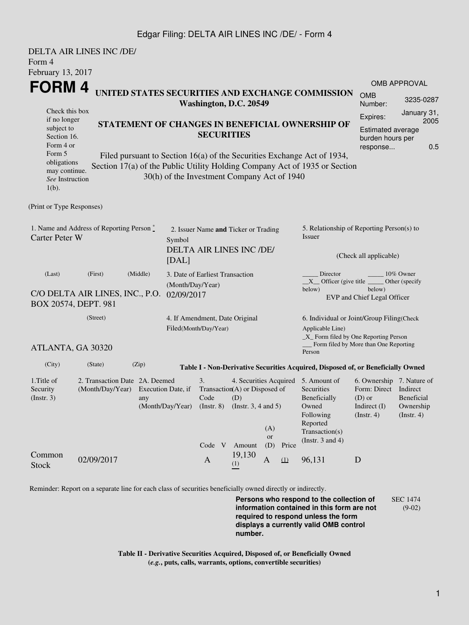## Edgar Filing: DELTA AIR LINES INC /DE/ - Form 4

| Form 4<br>February 13, 2017                                                                                                                                   | <b>DELTA AIR LINES INC /DE/</b>                                       |                         |                                                         |                                                                     |                  |                                                                                                           |                                                                                                                                                       |                                                                                                 |                                        |  |  |
|---------------------------------------------------------------------------------------------------------------------------------------------------------------|-----------------------------------------------------------------------|-------------------------|---------------------------------------------------------|---------------------------------------------------------------------|------------------|-----------------------------------------------------------------------------------------------------------|-------------------------------------------------------------------------------------------------------------------------------------------------------|-------------------------------------------------------------------------------------------------|----------------------------------------|--|--|
| <b>FORM4</b>                                                                                                                                                  |                                                                       |                         |                                                         |                                                                     |                  |                                                                                                           |                                                                                                                                                       | <b>OMB APPROVAL</b>                                                                             |                                        |  |  |
| UNITED STATES SECURITIES AND EXCHANGE COMMISSION<br>Washington, D.C. 20549                                                                                    |                                                                       |                         |                                                         |                                                                     |                  |                                                                                                           |                                                                                                                                                       | <b>OMB</b><br>Number:                                                                           | 3235-0287                              |  |  |
| Check this box<br>if no longer<br>STATEMENT OF CHANGES IN BENEFICIAL OWNERSHIP OF<br>subject to<br>Section 16.<br>Form 4 or                                   |                                                                       |                         |                                                         | <b>SECURITIES</b>                                                   |                  |                                                                                                           |                                                                                                                                                       | Expires:<br><b>Estimated average</b><br>burden hours per<br>response                            | January 31,<br>2005<br>0.5             |  |  |
| Form 5<br>obligations<br>may continue.<br>See Instruction<br>$1(b)$ .                                                                                         |                                                                       |                         | 30(h) of the Investment Company Act of 1940             |                                                                     |                  |                                                                                                           | Filed pursuant to Section 16(a) of the Securities Exchange Act of 1934,<br>Section 17(a) of the Public Utility Holding Company Act of 1935 or Section |                                                                                                 |                                        |  |  |
| (Print or Type Responses)                                                                                                                                     |                                                                       |                         |                                                         |                                                                     |                  |                                                                                                           |                                                                                                                                                       |                                                                                                 |                                        |  |  |
| 1. Name and Address of Reporting Person $\degree$<br><b>Carter Peter W</b><br>Symbol<br>[DAL]                                                                 |                                                                       |                         |                                                         | 2. Issuer Name and Ticker or Trading<br>DELTA AIR LINES INC /DE/    |                  |                                                                                                           | 5. Relationship of Reporting Person(s) to<br>Issuer<br>(Check all applicable)                                                                         |                                                                                                 |                                        |  |  |
| (Middle)<br>(Last)<br>(First)<br>3. Date of Earliest Transaction<br>(Month/Day/Year)<br>C/O DELTA AIR LINES, INC., P.O.<br>02/09/2017<br>BOX 20574, DEPT. 981 |                                                                       |                         |                                                         |                                                                     |                  |                                                                                                           | Director<br>10% Owner<br>$X$ Officer (give title $\overline{\phantom{a}}$<br>Other (specify<br>below)<br>below)<br>EVP and Chief Legal Officer        |                                                                                                 |                                        |  |  |
|                                                                                                                                                               | (Street)                                                              |                         | 4. If Amendment, Date Original<br>Filed(Month/Day/Year) |                                                                     |                  | 6. Individual or Joint/Group Filing(Check<br>Applicable Line)<br>$\_X$ Form filed by One Reporting Person |                                                                                                                                                       |                                                                                                 |                                        |  |  |
| ATLANTA, GA 30320                                                                                                                                             |                                                                       |                         |                                                         |                                                                     |                  |                                                                                                           | Person                                                                                                                                                | Form filed by More than One Reporting                                                           |                                        |  |  |
| (City)                                                                                                                                                        | (State)                                                               | (Zip)                   |                                                         |                                                                     |                  |                                                                                                           | Table I - Non-Derivative Securities Acquired, Disposed of, or Beneficially Owned                                                                      |                                                                                                 |                                        |  |  |
| 1. Title of<br>Security<br>(Insert. 3)                                                                                                                        | 2. Transaction Date 2A. Deemed<br>(Month/Day/Year) Execution Date, if | any<br>(Month/Day/Year) | 3.<br>$Code$ (D)<br>$($ Instr. $8)$<br>Code V           | Transaction(A) or Disposed of<br>(Instr. $3, 4$ and $5$ )<br>Amount | (A)<br>or<br>(D) | Price                                                                                                     | 4. Securities Acquired 5. Amount of<br>Securities<br>Beneficially<br>Owned<br>Following<br>Reported<br>Transaction(s)<br>(Instr. $3$ and $4$ )        | 6. Ownership 7. Nature of<br>Form: Direct Indirect<br>$(D)$ or<br>Indirect $(I)$<br>(Insert. 4) | Beneficial<br>Ownership<br>(Insert. 4) |  |  |
| Common<br><b>Stock</b>                                                                                                                                        | 02/09/2017                                                            |                         | $\mathbf{A}$                                            | 19,130<br>(1)                                                       | $\mathbf{A}$     | (1)                                                                                                       | 96,131                                                                                                                                                | $\mathbf D$                                                                                     |                                        |  |  |

Reminder: Report on a separate line for each class of securities beneficially owned directly or indirectly.

**Persons who respond to the collection of information contained in this form are not required to respond unless the form displays a currently valid OMB control number.** SEC 1474 (9-02)

**Table II - Derivative Securities Acquired, Disposed of, or Beneficially Owned (***e.g.***, puts, calls, warrants, options, convertible securities)**